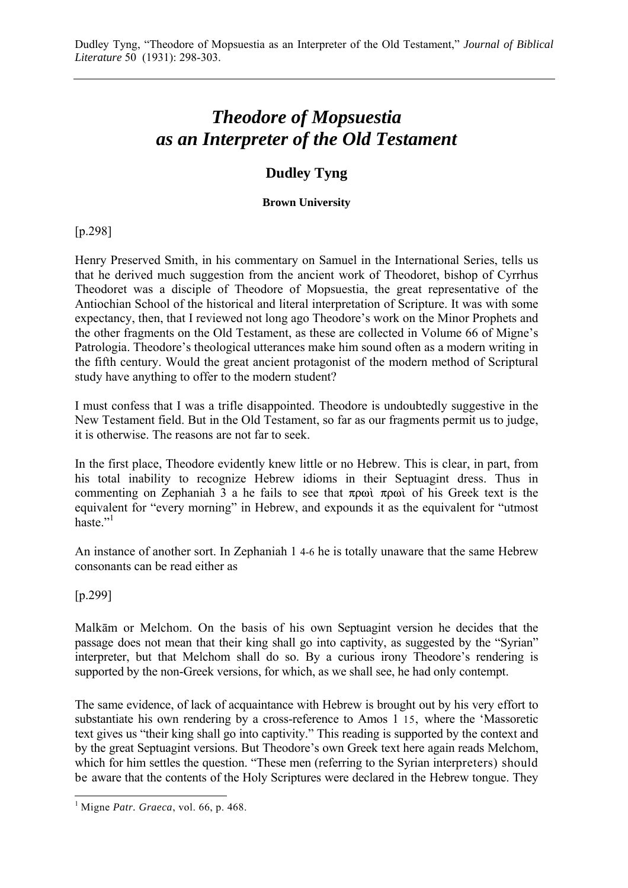## *Theodore of Mopsuestia as an Interpreter of the Old Testament*

## **Dudley Tyng**

## **Brown University**

[p.298]

Henry Preserved Smith, in his commentary on Samuel in the International Series, tells us that he derived much suggestion from the ancient work of Theodoret, bishop of Cyrrhus Theodoret was a disciple of Theodore of Mopsuestia, the great representative of the Antiochian School of the historical and literal interpretation of Scripture. It was with some expectancy, then, that I reviewed not long ago Theodore's work on the Minor Prophets and the other fragments on the Old Testament, as these are collected in Volume 66 of Migne's Patrologia. Theodore's theological utterances make him sound often as a modern writing in the fifth century. Would the great ancient protagonist of the modern method of Scriptural study have anything to offer to the modern student?

I must confess that I was a trifle disappointed. Theodore is undoubtedly suggestive in the New Testament field. But in the Old Testament, so far as our fragments permit us to judge, it is otherwise. The reasons are not far to seek.

In the first place, Theodore evidently knew little or no Hebrew. This is clear, in part, from his total inability to recognize Hebrew idioms in their Septuagint dress. Thus in commenting on Zephaniah 3 a he fails to see that  $\pi \rho \omega$   $\tilde{\rho}$  of his Greek text is the equivalent for "every morning" in Hebrew, and expounds it as the equivalent for "utmost haste." $\cdot$ <sup>1</sup>

An instance of another sort. In Zephaniah 1 4-6 he is totally unaware that the same Hebrew consonants can be read either as

[p.299]

Malkām or Melchom. On the basis of his own Septuagint version he decides that the passage does not mean that their king shall go into captivity, as suggested by the "Syrian" interpreter, but that Melchom shall do so. By a curious irony Theodore's rendering is supported by the non-Greek versions, for which, as we shall see, he had only contempt.

The same evidence, of lack of acquaintance with Hebrew is brought out by his very effort to substantiate his own rendering by a cross-reference to Amos 1 15, where the 'Massoretic text gives us "their king shall go into captivity." This reading is supported by the context and by the great Septuagint versions. But Theodore's own Greek text here again reads Melchom, which for him settles the question. "These men (referring to the Syrian interpreters) should be aware that the contents of the Holy Scriptures were declared in the Hebrew tongue. They

 1 Migne *Patr. Graeca*, vol. 66, p. 468.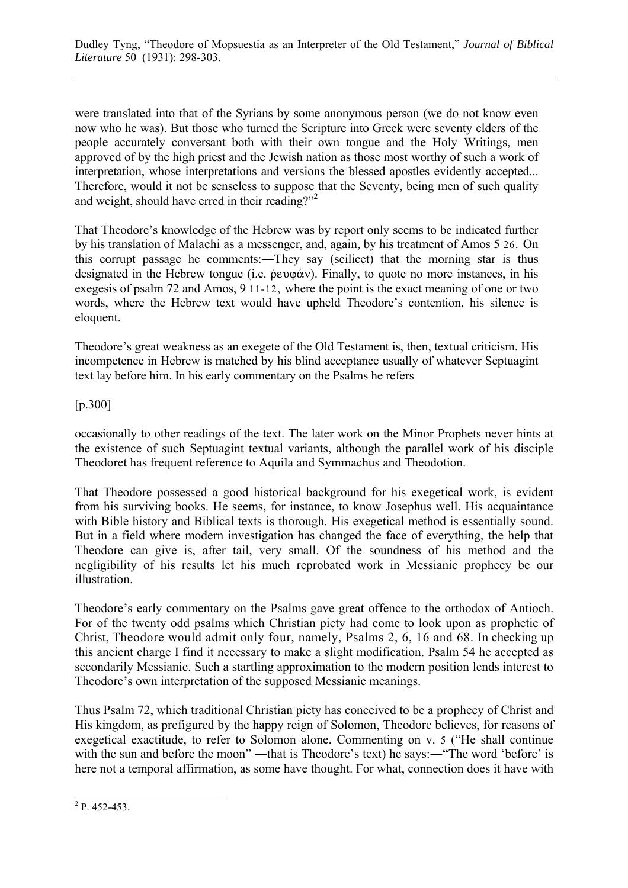were translated into that of the Syrians by some anonymous person (we do not know even now who he was). But those who turned the Scripture into Greek were seventy elders of the people accurately conversant both with their own tongue and the Holy Writings, men approved of by the high priest and the Jewish nation as those most worthy of such a work of interpretation, whose interpretations and versions the blessed apostles evidently accepted... Therefore, would it not be senseless to suppose that the Seventy, being men of such quality and weight, should have erred in their reading?"<sup>2</sup>

That Theodore's knowledge of the Hebrew was by report only seems to be indicated further by his translation of Malachi as a messenger, and, again, by his treatment of Amos 5 26. On this corrupt passage he comments:―They say (scilicet) that the morning star is thus designated in the Hebrew tongue (i.e.  $\phi \epsilon \nu \phi \dot{\alpha} \nu$ ). Finally, to quote no more instances, in his exegesis of psalm 72 and Amos, 9 11-12, where the point is the exact meaning of one or two words, where the Hebrew text would have upheld Theodore's contention, his silence is eloquent.

Theodore's great weakness as an exegete of the Old Testament is, then, textual criticism. His incompetence in Hebrew is matched by his blind acceptance usually of whatever Septuagint text lay before him. In his early commentary on the Psalms he refers

## [p.300]

occasionally to other readings of the text. The later work on the Minor Prophets never hints at the existence of such Septuagint textual variants, although the parallel work of his disciple Theodoret has frequent reference to Aquila and Symmachus and Theodotion.

That Theodore possessed a good historical background for his exegetical work, is evident from his surviving books. He seems, for instance, to know Josephus well. His acquaintance with Bible history and Biblical texts is thorough. His exegetical method is essentially sound. But in a field where modern investigation has changed the face of everything, the help that Theodore can give is, after tail, very small. Of the soundness of his method and the negligibility of his results let his much reprobated work in Messianic prophecy be our illustration.

Theodore's early commentary on the Psalms gave great offence to the orthodox of Antioch. For of the twenty odd psalms which Christian piety had come to look upon as prophetic of Christ, Theodore would admit only four, namely, Psalms 2, 6, 16 and 68. In checking up this ancient charge I find it necessary to make a slight modification. Psalm 54 he accepted as secondarily Messianic. Such a startling approximation to the modern position lends interest to Theodore's own interpretation of the supposed Messianic meanings.

Thus Psalm 72, which traditional Christian piety has conceived to be a prophecy of Christ and His kingdom, as prefigured by the happy reign of Solomon, Theodore believes, for reasons of exegetical exactitude, to refer to Solomon alone. Commenting on v. 5 ("He shall continue with the sun and before the moon" —that is Theodore's text) he says:—"The word 'before' is here not a temporal affirmation, as some have thought. For what, connection does it have with

 $^{2}$  P. 452-453.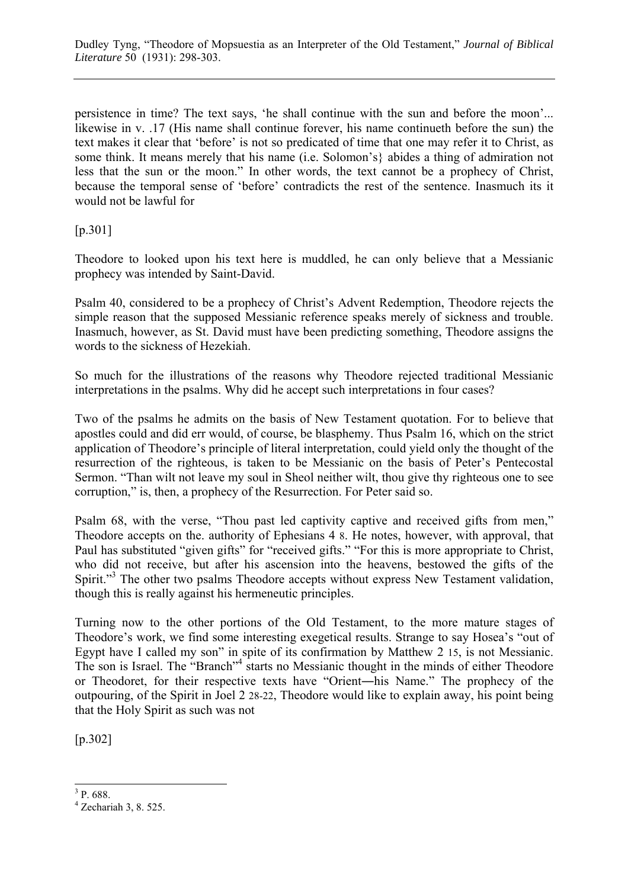persistence in time? The text says, 'he shall continue with the sun and before the moon'... likewise in v. .17 (His name shall continue forever, his name continueth before the sun) the text makes it clear that 'before' is not so predicated of time that one may refer it to Christ, as some think. It means merely that his name (i.e. Solomon's} abides a thing of admiration not less that the sun or the moon." In other words, the text cannot be a prophecy of Christ, because the temporal sense of 'before' contradicts the rest of the sentence. Inasmuch its it would not be lawful for

[p.301]

Theodore to looked upon his text here is muddled, he can only believe that a Messianic prophecy was intended by Saint-David.

Psalm 40, considered to be a prophecy of Christ's Advent Redemption, Theodore rejects the simple reason that the supposed Messianic reference speaks merely of sickness and trouble. Inasmuch, however, as St. David must have been predicting something, Theodore assigns the words to the sickness of Hezekiah.

So much for the illustrations of the reasons why Theodore rejected traditional Messianic interpretations in the psalms. Why did he accept such interpretations in four cases?

Two of the psalms he admits on the basis of New Testament quotation. For to believe that apostles could and did err would, of course, be blasphemy. Thus Psalm 16, which on the strict application of Theodore's principle of literal interpretation, could yield only the thought of the resurrection of the righteous, is taken to be Messianic on the basis of Peter's Pentecostal Sermon. "Than wilt not leave my soul in Sheol neither wilt, thou give thy righteous one to see corruption," is, then, a prophecy of the Resurrection. For Peter said so.

Psalm 68, with the verse, "Thou past led captivity captive and received gifts from men," Theodore accepts on the. authority of Ephesians 4 8. He notes, however, with approval, that Paul has substituted "given gifts" for "received gifts." "For this is more appropriate to Christ, who did not receive, but after his ascension into the heavens, bestowed the gifts of the Spirit."<sup>3</sup> The other two psalms Theodore accepts without express New Testament validation, though this is really against his hermeneutic principles.

Turning now to the other portions of the Old Testament, to the more mature stages of Theodore's work, we find some interesting exegetical results. Strange to say Hosea's "out of Egypt have I called my son" in spite of its confirmation by Matthew 2 15, is not Messianic. The son is Israel. The "Branch"<sup>4</sup> starts no Messianic thought in the minds of either Theodore or Theodoret, for their respective texts have "Orient―his Name." The prophecy of the outpouring, of the Spirit in Joel 2 28-22, Theodore would like to explain away, his point being that the Holy Spirit as such was not

[p.302]

 $\overline{a}$  $3$  P. 688.

 $4$  Zechariah 3, 8. 525.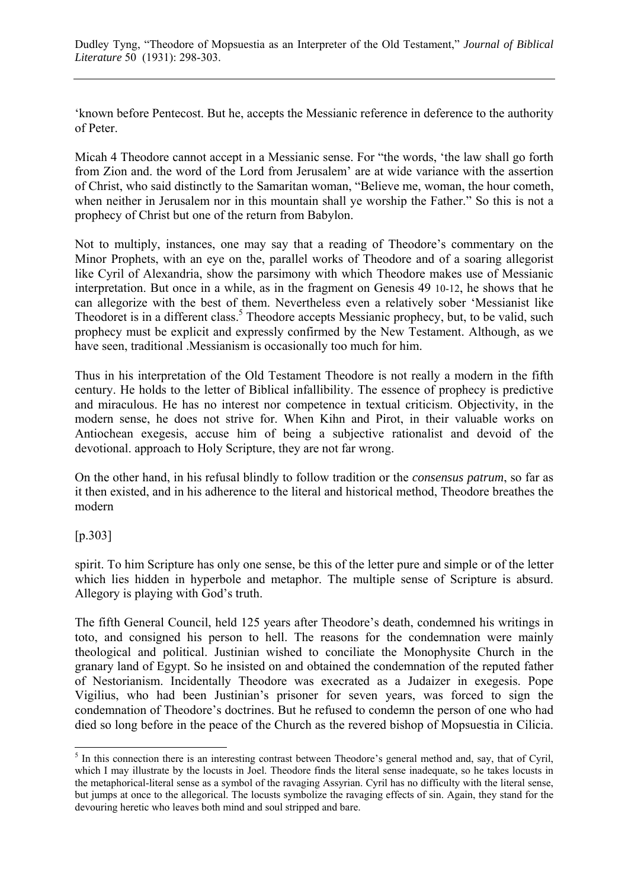Dudley Tyng, "Theodore of Mopsuestia as an Interpreter of the Old Testament," *Journal of Biblical Literature* 50 (1931): 298-303.

'known before Pentecost. But he, accepts the Messianic reference in deference to the authority of Peter.

Micah 4 Theodore cannot accept in a Messianic sense. For "the words, 'the law shall go forth from Zion and. the word of the Lord from Jerusalem' are at wide variance with the assertion of Christ, who said distinctly to the Samaritan woman, "Believe me, woman, the hour cometh, when neither in Jerusalem nor in this mountain shall ye worship the Father." So this is not a prophecy of Christ but one of the return from Babylon.

Not to multiply, instances, one may say that a reading of Theodore's commentary on the Minor Prophets, with an eye on the, parallel works of Theodore and of a soaring allegorist like Cyril of Alexandria, show the parsimony with which Theodore makes use of Messianic interpretation. But once in a while, as in the fragment on Genesis 49 10-12, he shows that he can allegorize with the best of them. Nevertheless even a relatively sober 'Messianist like Theodoret is in a different class.<sup>5</sup> Theodore accepts Messianic prophecy, but, to be valid, such prophecy must be explicit and expressly confirmed by the New Testament. Although, as we have seen, traditional .Messianism is occasionally too much for him.

Thus in his interpretation of the Old Testament Theodore is not really a modern in the fifth century. He holds to the letter of Biblical infallibility. The essence of prophecy is predictive and miraculous. He has no interest nor competence in textual criticism. Objectivity, in the modern sense, he does not strive for. When Kihn and Pirot, in their valuable works on Antiochean exegesis, accuse him of being a subjective rationalist and devoid of the devotional. approach to Holy Scripture, they are not far wrong.

On the other hand, in his refusal blindly to follow tradition or the *consensus patrum*, so far as it then existed, and in his adherence to the literal and historical method, Theodore breathes the modern

[p.303]

 $\overline{a}$ 

spirit. To him Scripture has only one sense, be this of the letter pure and simple or of the letter which lies hidden in hyperbole and metaphor. The multiple sense of Scripture is absurd. Allegory is playing with God's truth.

The fifth General Council, held 125 years after Theodore's death, condemned his writings in toto, and consigned his person to hell. The reasons for the condemnation were mainly theological and political. Justinian wished to conciliate the Monophysite Church in the granary land of Egypt. So he insisted on and obtained the condemnation of the reputed father of Nestorianism. Incidentally Theodore was execrated as a Judaizer in exegesis. Pope Vigilius, who had been Justinian's prisoner for seven years, was forced to sign the condemnation of Theodore's doctrines. But he refused to condemn the person of one who had died so long before in the peace of the Church as the revered bishop of Mopsuestia in Cilicia.

 $<sup>5</sup>$  In this connection there is an interesting contrast between Theodore's general method and, say, that of Cyril,</sup> which I may illustrate by the locusts in Joel. Theodore finds the literal sense inadequate, so he takes locusts in the metaphorical-literal sense as a symbol of the ravaging Assyrian. Cyril has no difficulty with the literal sense, but jumps at once to the allegorical. The locusts symbolize the ravaging effects of sin. Again, they stand for the devouring heretic who leaves both mind and soul stripped and bare.